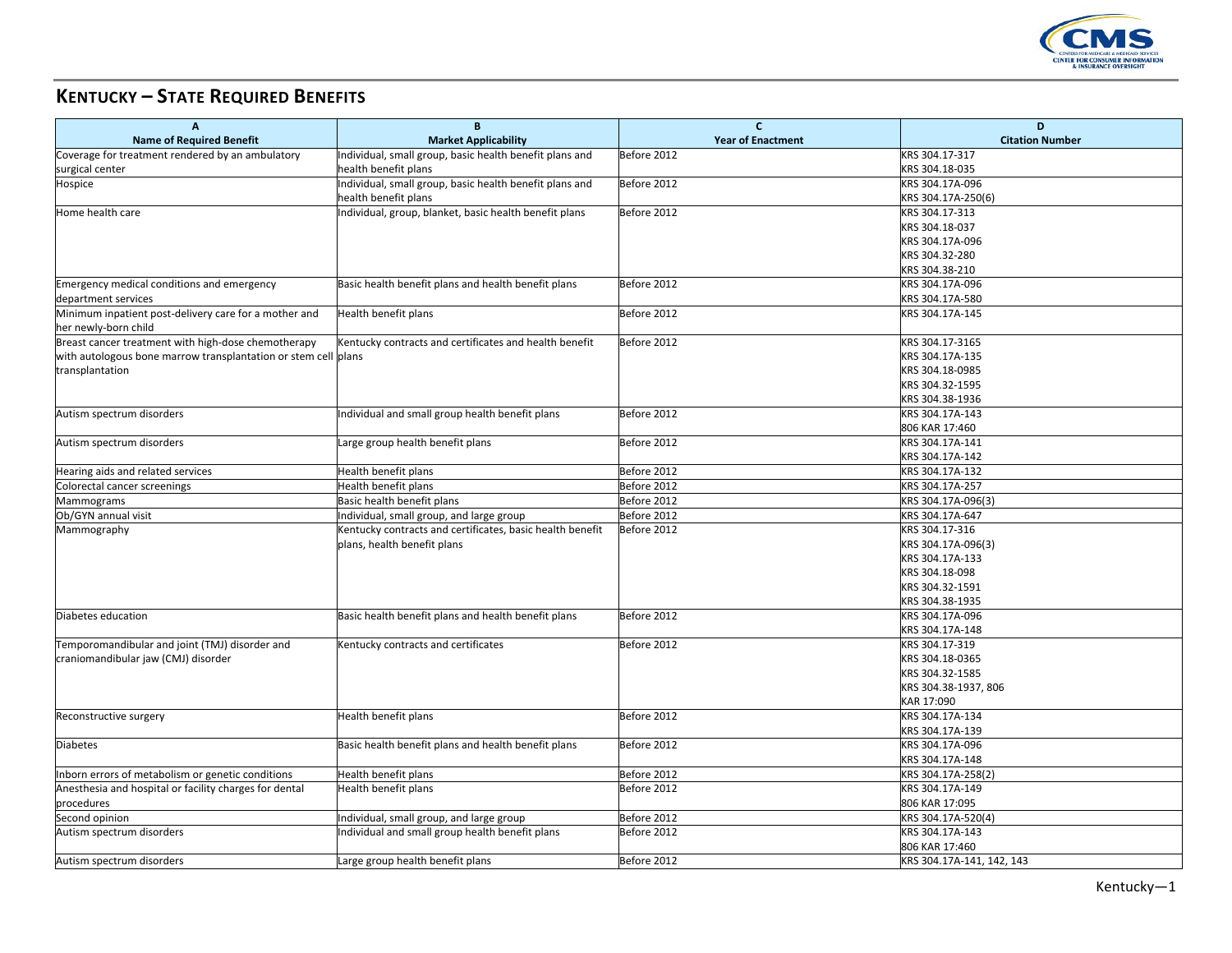

## **KENTUCKY – STATE REQUIRED BENEFITS**

| $\overline{A}$                                                 | $\mathbf{B}$                                              | $\mathbf{C}$             | D                         |
|----------------------------------------------------------------|-----------------------------------------------------------|--------------------------|---------------------------|
| <b>Name of Required Benefit</b>                                | <b>Market Applicability</b>                               | <b>Year of Enactment</b> | <b>Citation Number</b>    |
| Coverage for treatment rendered by an ambulatory               | Individual, small group, basic health benefit plans and   | Before 2012              | KRS 304.17-317            |
| surgical center                                                | health benefit plans                                      |                          | KRS 304.18-035            |
| Hospice                                                        | Individual, small group, basic health benefit plans and   | Before 2012              | KRS 304.17A-096           |
|                                                                | health benefit plans                                      |                          | KRS 304.17A-250(6)        |
| Home health care                                               | Individual, group, blanket, basic health benefit plans    | Before 2012              | KRS 304.17-313            |
|                                                                |                                                           |                          | KRS 304.18-037            |
|                                                                |                                                           |                          | KRS 304.17A-096           |
|                                                                |                                                           |                          | KRS 304.32-280            |
|                                                                |                                                           |                          | KRS 304.38-210            |
| Emergency medical conditions and emergency                     | Basic health benefit plans and health benefit plans       | Before 2012              | KRS 304.17A-096           |
| department services                                            |                                                           |                          | KRS 304.17A-580           |
| Minimum inpatient post-delivery care for a mother and          | Health benefit plans                                      | Before 2012              | KRS 304.17A-145           |
| her newly-born child                                           |                                                           |                          |                           |
| Breast cancer treatment with high-dose chemotherapy            | Kentucky contracts and certificates and health benefit    | Before 2012              | KRS 304.17-3165           |
| with autologous bone marrow transplantation or stem cell plans |                                                           |                          | KRS 304.17A-135           |
| transplantation                                                |                                                           |                          | KRS 304.18-0985           |
|                                                                |                                                           |                          | KRS 304.32-1595           |
|                                                                |                                                           |                          | KRS 304.38-1936           |
| Autism spectrum disorders                                      | Individual and small group health benefit plans           | Before 2012              | KRS 304.17A-143           |
|                                                                |                                                           |                          | 806 KAR 17:460            |
| Autism spectrum disorders                                      | Large group health benefit plans                          | Before 2012              | KRS 304.17A-141           |
|                                                                |                                                           |                          | KRS 304.17A-142           |
| Hearing aids and related services                              | Health benefit plans                                      | Before 2012              | KRS 304.17A-132           |
| Colorectal cancer screenings                                   | Health benefit plans                                      | Before 2012              | KRS 304.17A-257           |
| Mammograms                                                     | Basic health benefit plans                                | Before 2012              | KRS 304.17A-096(3)        |
| Ob/GYN annual visit                                            | Individual, small group, and large group                  | Before 2012              | KRS 304.17A-647           |
| Mammography                                                    | Kentucky contracts and certificates, basic health benefit | Before 2012              | KRS 304.17-316            |
|                                                                | plans, health benefit plans                               |                          | KRS 304.17A-096(3)        |
|                                                                |                                                           |                          | KRS 304.17A-133           |
|                                                                |                                                           |                          | KRS 304.18-098            |
|                                                                |                                                           |                          | KRS 304.32-1591           |
|                                                                |                                                           |                          | KRS 304.38-1935           |
| Diabetes education                                             | Basic health benefit plans and health benefit plans       | Before 2012              | KRS 304.17A-096           |
|                                                                |                                                           |                          | KRS 304.17A-148           |
| Temporomandibular and joint (TMJ) disorder and                 | Kentucky contracts and certificates                       | Before 2012              | KRS 304.17-319            |
| craniomandibular jaw (CMJ) disorder                            |                                                           |                          | KRS 304.18-0365           |
|                                                                |                                                           |                          | KRS 304.32-1585           |
|                                                                |                                                           |                          | KRS 304.38-1937, 806      |
|                                                                |                                                           |                          | KAR 17:090                |
| Reconstructive surgery                                         | Health benefit plans                                      | Before 2012              | KRS 304.17A-134           |
|                                                                |                                                           |                          | KRS 304.17A-139           |
| <b>Diabetes</b>                                                | Basic health benefit plans and health benefit plans       | Before 2012              | KRS 304.17A-096           |
|                                                                |                                                           |                          | KRS 304.17A-148           |
| Inborn errors of metabolism or genetic conditions              | Health benefit plans                                      | Before 2012              | KRS 304.17A-258(2)        |
| Anesthesia and hospital or facility charges for dental         | Health benefit plans                                      | Before 2012              | KRS 304.17A-149           |
| procedures                                                     |                                                           |                          | 806 KAR 17:095            |
| Second opinion                                                 | Individual, small group, and large group                  | Before 2012              | KRS 304.17A-520(4)        |
| Autism spectrum disorders                                      | Individual and small group health benefit plans           | Before 2012              | KRS 304.17A-143           |
|                                                                |                                                           |                          | 806 KAR 17:460            |
| Autism spectrum disorders                                      | Large group health benefit plans                          | Before 2012              | KRS 304.17A-141, 142, 143 |